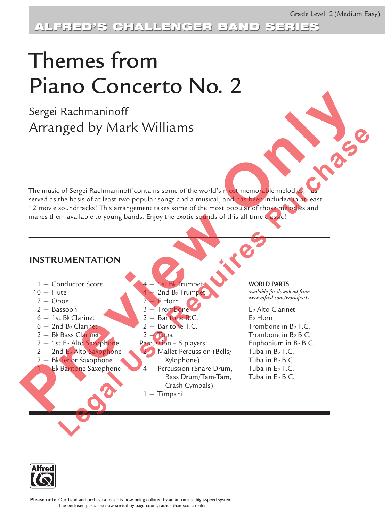## Alfred's ch Alfred's chaallenger b llenger baand series nd series

## Themes from Piano Concerto No. 2

Sergei Rachmaninoff Arranged by Mark Williams

The music of Sergei Rachmaninoff contains some of the world's most memorable melodies, has served as the basis of at least two popular songs and a musical, and has been included in at least 12 movie soundtracks! This arrangement takes some of the most popular of those melodies and makes them available to young bands. Enjoy the exotic sounds of this all-time classic! **Premise of Segeri Rachmaninoff**<br>
The music of Segeri Rachmaninoff contains some of the world's representation of the control of the state of the state of the music state of the state of the state of the state of the state **Legach Control Control Control Control Control Control Control Control Control Control Control Control Control Control Control Control Control Control Control Control Control Control Control Control Control Control Contro** 

## **INSTRUMENTATION**

- 1 Conductor Score
- $10 -$ Flute
- $2 -$  Oboe
- 2 Bassoon
- $6 1$ st B<sub>b</sub> Clarinet
- $6 2$ nd B $\flat$  Clarinet
- $2 B$ <sub>b</sub> Bass Clarinet
- 2 1st Eb Alto Saxophone
- 2 2nd Eb Alto Saxophone
- 2 Bb Tenor Saxophone
- 1 Eb Baritone Saxophone
- st B<sub>b</sub> Trumpet 2nd B<sub>b</sub> Trumpet
- $2 F$  Horn
- 3 Trombone
- 2 Baritone B.C.
- 2 Baritone T.C.
- $2 -$ Tuba
- Percussion 5 players:
	- **Mallet Percussion (Bells/** 
		- Xylophone)
	- $-$  Percussion (Snare Drum, Bass Drum/Tam-Tam, Crash Cymbals)
- 1 Timpani

**WORLD PARTS**

*available for download from www.alfred.com/worldparts*

Eb Alto Clarinet Eb Horn Trombone in Bb T.C. Trombone in B<sub>b</sub> B.C. Euphonium in  $B$ <sub>b</sub> B.C. Tuba in Bb T.C. Tuba in  $B<sub>b</sub> B.C.$ Tuba in  $F_b$  T.C. Tuba in Eb B.C.

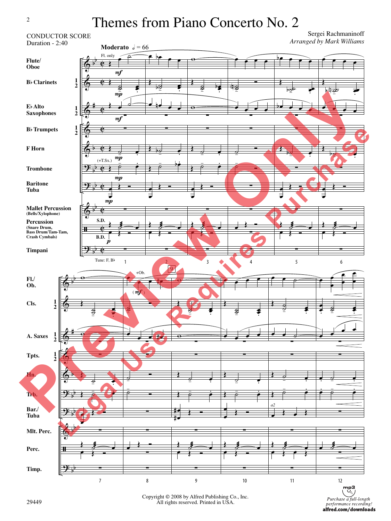## Themes from Piano Concerto No. 2

 $\circ$  $\circledast$  $\circ$  $\circ$  $\circledast$ <u>ን</u>፡ <u>ን</u>  $\circ$ ã  $\overline{\mathbf{r}}$ b b # **b**<br>
<br>
<br>
<br>
<br>
<br>
<br><br><br><br>
<br><br><br> **b** b **b** b b b **b**  $\,$  $\mathbf{e}$  $\mathbf{e}$  $\mathbf{e}$  $\mathbf{e}$ æ  $\mathbf{e}$  $\mathbf{e}$  $\mathbf{e}$  $\mathbf \theta$ C **<sup>B</sup>**b **Clarinets <sup>B</sup>**b **Trumpets Trombone 1 2 Flute/ Oboe <sup>E</sup>**b **Alto Saxophones F Horn Timpani Percussion (Snare Drum, Bass Drum/Tam-Tam, Crash Cymbals) 1 2 Baritone Tuba 1 2 Mallet Percussion (Bells/Xylophone)** Fl. only  $(+T.Sx.)$ Tune: F, Bb **Moderato**  $J = 66$  $\frac{1}{\sqrt{2}}$  $m f$  $\overline{\mathsf{P}}$  $\frac{2}{\frac{2}{m}}$  $\frac{2}{mp}$ œœ .  $\frac{1}{\epsilon}$  $m f$  $\overline{a}$ ∑ ∑  $\frac{2}{\sqrt{mp}}$ .  $\begin{array}{c} \begin{array}{c} \bullet \\ \bullet \end{array} \end{array}$   $mp$ œ . œ œ  $\frac{mp}{2}$  $\frac{1}{2}$ ∑ Œ  $\frac{p}{2}$ **S.D. B.D.** ˙æ <sup>œ</sup> <sup>œ</sup> Œ Ó 1 ∑  $e$  be  $e$  e  $rac{1}{\sqrt{2}}$  $\frac{1}{2}$ . <mark>๔ ๒๔ ๖ ๖ ๖</mark><br>———————————————————— ∑  $\frac{1}{2}$ - œ .  $\begin{array}{c} \begin{array}{c} \bullet \\ \bullet \end{array} \end{array}$  $\frac{1}{\epsilon}$  be . œ œ  $\leftarrow$ ∑ <sup>Œ</sup> ˙æ <sup>œ</sup> <sup>œ</sup> Œ Ó 2 ∑  $\triangle$ िल<br>पाठ<br>पाठ e <mark>e</mark> .  $\frac{\Theta}{\Theta}$ ∑ ∑ <u>≹</u><br>≙ <u>.</u><br>. . <u>रे ।</u> - œ . œ œ  $\frac{1}{2}$ ∑ <sup>Œ</sup> ˙æ <sup>œ</sup> <sup>œ</sup> Œ Ó 3 ∑  $\bullet$   $\bullet$   $\bullet$  $\overline{\Phi}$ - Ó <sup>œ</sup> <sup>œ</sup> <sup>œ</sup> <sup>œ</sup> <sup>∑</sup> ∑  $\overline{a}$  $\frac{1}{2}$ ˙ - <sup>Ó</sup> ∑ ∑  $\frac{1}{\sqrt{2}}$ ∑ 4 ∑  $\frac{b \bullet \bullet \bullet \bullet}{\bullet \bullet \bullet \bullet \bullet}$ Œ <u>مح</u>ة<br>أ - œœ . œb <sup>œ</sup> <sup>œ</sup> <sup>œ</sup> <sup>∑</sup> ∑  $E_{\rm bg}$ <u>न्दर्भ</u> . ∑ œ œ  $\frac{1}{2}$ ∑ <sup>Œ</sup> ˙æ <sup>œ</sup> <sup>œ</sup> Œ Ó 5 ∑  $\epsilon$   $\epsilon$   $\epsilon$ Œ  $\frac{1}{\sqrt{2}}$ **ক ক**<br>— . <sup>œ</sup> <sup>œ</sup> <sup>œ</sup> <sup>œ</sup> <sup>∑</sup> ∑  $\begin{picture}(180,17)(-10,17)(-10,17){\line(1,0){156}} \put(10,17){\line(1,0){156}} \put(10,17){\line(1,0){156}} \put(10,17){\line(1,0){156}} \put(10,17){\line(1,0){156}} \put(10,17){\line(1,0){156}} \put(10,17){\line(1,0){156}} \put(10,17){\line(1,0){156}} \put(10,17){\line(1,0){156}} \put(10,17){\line(1,0){156}} \put($  $\sum_{i=1}^n$ . ∑ œ œ  $\ddot{\mathbf{z}}$ ∑ <sup>Œ</sup> ˙æ <sup>œ</sup> <sup>œ</sup> Œ Ó 6 ∑  $\circ$  $\Theta$  $\Theta$  $\bigcirc$  $\circ$ <u>):</u> <u>):</u>  $\bigcirc$  $\bf{H}$ <u>):</u> **b**<br>
 b # b b b b b b<br>2 b<br>2 b b **Cls. Tpts. Trb. 1 2 Fl./ Ob. A. Saxes Hn. Timp. Perc. 1 2 Bar./ Tuba 1 2 Mlt. Perc.**  $\frac{1}{\sqrt{2}}$ مية<br>⊺<br>¤¤ ˙  $\frac{1}{2}$ œ .  $\epsilon$ ∑  $\frac{1}{\epsilon}$  $\frac{e}{\sqrt{2}}$ .  $\leftarrow$  $\pm 0$ . œ œ  $\overline{a}$ ∑ <sup>Œ</sup> ˙æ <sup>œ</sup> <sup>œ</sup> Œ Ó 7 ∑  $\binom{m}{k}$ +Ob. ) <sup>œ</sup> <sup>œ</sup> **exte** ˙˙ - Í. <sup>œ</sup> <sup>œ</sup> <sup>œ</sup> œ# <sup>∑</sup> ∑  $\overline{a}$  $\frac{1}{2}$ ˙ –<br><del>0</del> ∑ ∑  $\frac{1}{\sqrt{2}}$ ∑ 8 ∑ 9 w  $\sum_{i=1}^n$  $rac{1}{2}$ .  $rac{1}{\sqrt{1-\frac{1}{2}}\sqrt{1-\frac{1}{2}}\sqrt{1-\frac{1}{2}}\sqrt{1-\frac{1}{2}}}}$ ∑  $\frac{1}{2}$  $\overline{\mathcal{E}}$ . <u>ः</u><br>॑ -<br>-<br>-. œ œ# # Œ Ó ∑ <sup>Œ</sup> ˙æ <sup>œ</sup> <sup>œ</sup> Œ Ó 9 ∑  $\bullet$   $\bullet$   $\bullet$   $\bullet$  $\frac{2}{3}$  $\frac{1}{2}$ Į<br>C . <sup>œ</sup> <sup>œ</sup> <sup>œ</sup> <sup>œ</sup> <sup>∑</sup> ∑  $\frac{1}{2}$  $\frac{1}{2}$   $\frac{1}{2}$ . <u>ः</u><br>॑ - œ . œ  $\frac{1}{2}$ ∑ <sup>Œ</sup> ˙æ <sup>œ</sup> <sup>œ</sup> Œ Ó 10 ∑ œ œ ˙  $\frac{1}{\epsilon}$ ˙  $\frac{1}{2}$ . œ œ ˙ ∑ ∑  $\frac{1}{\epsilon}$  $\frac{1}{\epsilon}$   $\frac{1}{\epsilon}$ .  $\begin{array}{c} \uparrow \\ \downarrow \end{array}$ -<br>2<br>- P . œ *a2*  $\leftarrow$ ∑ <sup>Œ</sup> ˙æ <sup>œ</sup> <sup>œ</sup> <sup>Œ</sup> <sup>œ</sup> <sup>Œ</sup> 11 ∑  $\overline{\phantom{a}}$ œ œ œ œ œ œ œ . ˙˙  $\frac{1}{2}$ .  $\frac{1}{\sqrt{2}}$ ∑ ∑ œ . ˙  $\frac{1}{2}$   $\frac{1}{2}$ . œ  $\frac{1}{\rho}$ - œ . ∑ ∑ <sup>œ</sup> ˙æ <sup>œ</sup> <sup>∑</sup> 12 ∑ Sergei Rachmaninoff *Arranged by Mark Williams* Duration - 2:40 CONDUCTOR SCORE **Preview Only 1990 Legal Use Requires Purchase**

29449

Copyright © 2008 by Alfred Publishing Co., Inc. All rights reserved. Printed in USA.

 $\begin{pmatrix} \mathbf{m} \mathbf{p} \mathbf{3} \\ \mathbf{w}_y \end{pmatrix}$ Purchase a full-length<br>performance recording! alfred.com/downloads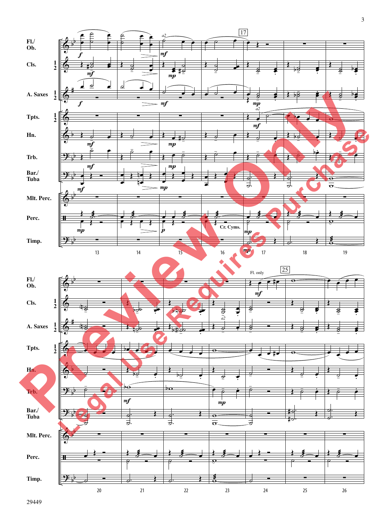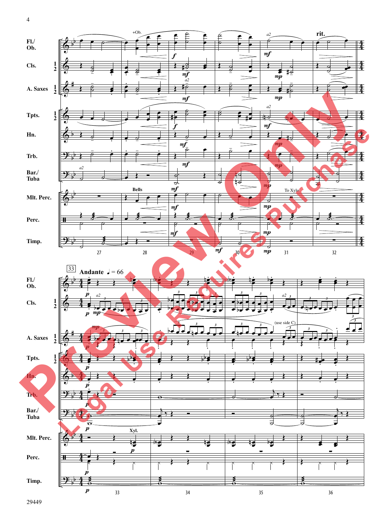

29449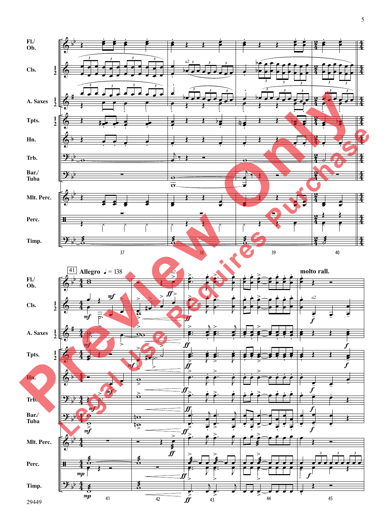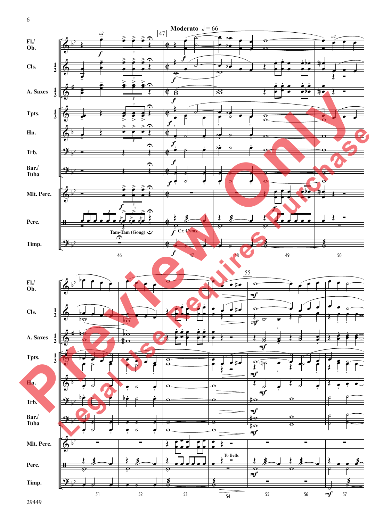

 $\sqrt{6}$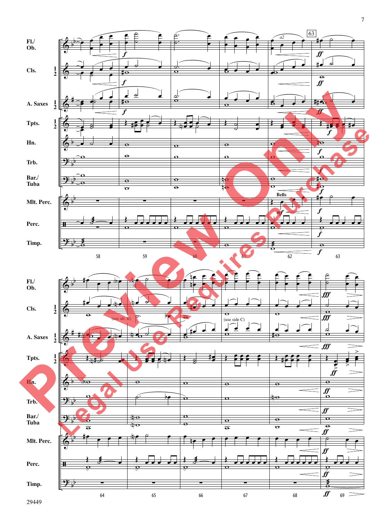

 $\boldsymbol{7}$